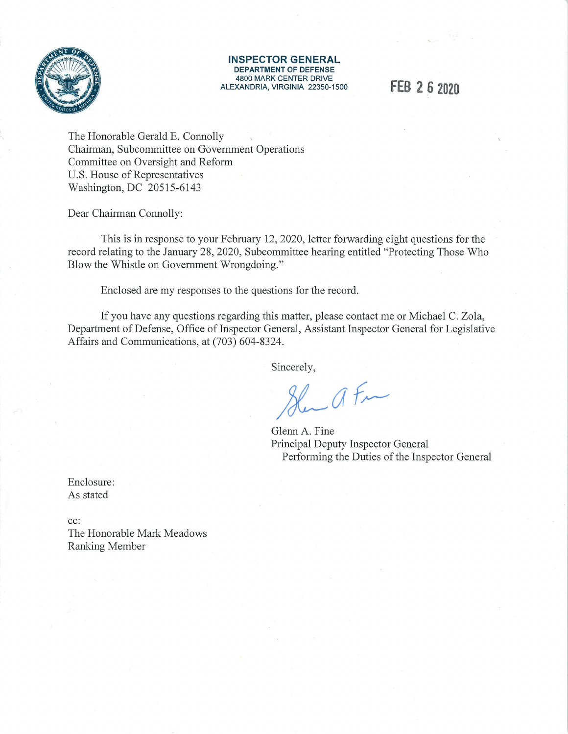

**INSPECTOR GENERAL DEPARTMENT OF DEFENSE**  4800 MARK CENTER DRIVE ALEXANDRIA, VIRGINIA 22350-1500 **FEB 2 6 2020** 

The Honorable Gerald E. Connolly Chairman, Subcommittee on Government Operations Committee on Oversight and Reform U.S. House of Representatives Washington, DC 20515-6143

Dear Chairman Connolly:

This is in response to your February 12, 2020, letter forwarding eight questions for the record relating to the January 28, 2020, Subcommittee hearing entitled "Protecting Those Who Blow the Whistle on Government Wrongdoing."

Enclosed are my responses to the questions for the record.

If you have any questions regarding this matter, please contact me or Michael C. Zola, Department of Defense, Office of Inspector General, Assistant Inspector General for Legislative Affairs and Communications, at (703) 604-8324.

Sincerely,

Slan a Fra

Glenn A. Fine Principal Deputy Inspector General Performing the Duties of the Inspector General

Enclosure: As stated

cc: The Honorable Mark Meadows Ranking Member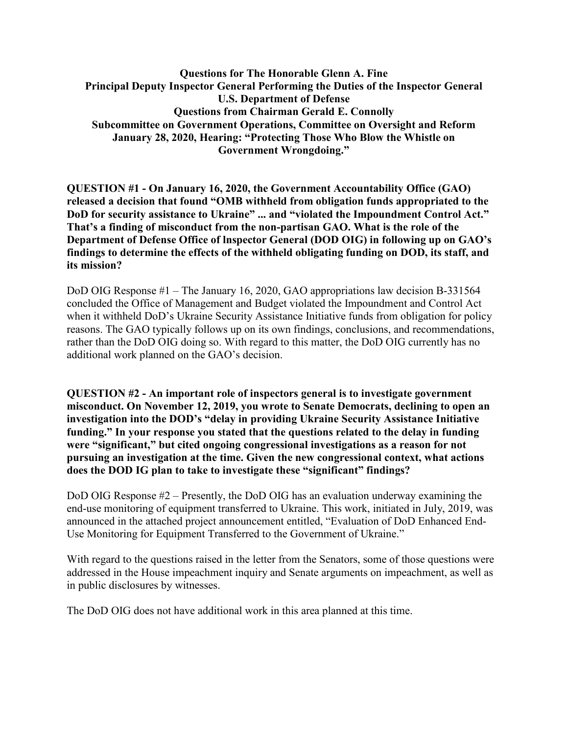**Questions for The Honorable Glenn A. Fine Principal Deputy Inspector General Performing the Duties of the Inspector General U.S. Department of Defense Questions from Chairman Gerald E. Connolly Subcommittee on Government Operations, Committee on Oversight and Reform January 28, 2020, Hearing: "Protecting Those Who Blow the Whistle on Government Wrongdoing."**

**QUESTION #1 - On January 16, 2020, the Government Accountability Office (GAO) released a decision that found "OMB withheld from obligation funds appropriated to the DoD for security assistance to Ukraine" ... and "violated the Impoundment Control Act." That's a finding of misconduct from the non-partisan GAO. What is the role of the Department of Defense Office of lnspector General (DOD OIG) in following up on GAO's findings to determine the effects of the withheld obligating funding on DOD, its staff, and its mission?**

DoD OIG Response #1 – The January 16, 2020, GAO appropriations law decision B-331564 concluded the Office of Management and Budget violated the Impoundment and Control Act when it withheld DoD's Ukraine Security Assistance Initiative funds from obligation for policy reasons. The GAO typically follows up on its own findings, conclusions, and recommendations, rather than the DoD OIG doing so. With regard to this matter, the DoD OIG currently has no additional work planned on the GAO's decision.

**QUESTION #2 - An important role of inspectors general is to investigate government misconduct. On November 12, 2019, you wrote to Senate Democrats, declining to open an investigation into the DOD's "delay in providing Ukraine Security Assistance Initiative funding." In your response you stated that the questions related to the delay in funding were "significant," but cited ongoing congressional investigations as a reason for not pursuing an investigation at the time. Given the new congressional context, what actions does the DOD IG plan to take to investigate these "significant" findings?**

DoD OIG Response #2 – Presently, the DoD OIG has an evaluation underway examining the end-use monitoring of equipment transferred to Ukraine. This work, initiated in July, 2019, was announced in the attached project announcement entitled, "Evaluation of DoD Enhanced End-Use Monitoring for Equipment Transferred to the Government of Ukraine."

With regard to the questions raised in the letter from the Senators, some of those questions were addressed in the House impeachment inquiry and Senate arguments on impeachment, as well as in public disclosures by witnesses.

The DoD OIG does not have additional work in this area planned at this time.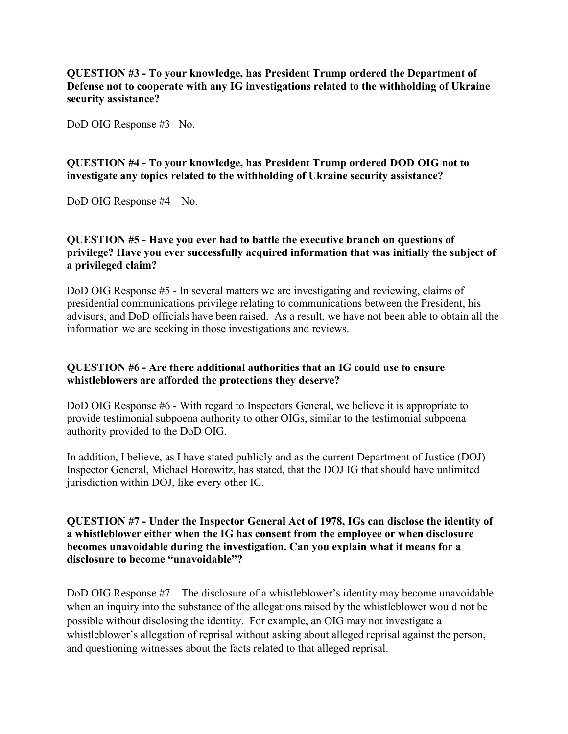**QUESTION #3 - To your knowledge, has President Trump ordered the Department of Defense not to cooperate with any IG investigations related to the withholding of Ukraine security assistance?**

DoD OIG Response #3– No.

# **QUESTION #4 - To your knowledge, has President Trump ordered DOD OIG not to investigate any topics related to the withholding of Ukraine security assistance?**

DoD OIG Response #4 – No.

# **QUESTION #5 - Have you ever had to battle the executive branch on questions of privilege? Have you ever successfully acquired information that was initially the subject of a privileged claim?**

DoD OIG Response #5 - In several matters we are investigating and reviewing, claims of presidential communications privilege relating to communications between the President, his advisors, and DoD officials have been raised. As a result, we have not been able to obtain all the information we are seeking in those investigations and reviews.

# **QUESTION #6 - Are there additional authorities that an IG could use to ensure whistleblowers are afforded the protections they deserve?**

DoD OIG Response #6 - With regard to Inspectors General, we believe it is appropriate to provide testimonial subpoena authority to other OIGs, similar to the testimonial subpoena authority provided to the DoD OIG.

In addition, I believe, as I have stated publicly and as the current Department of Justice (DOJ) Inspector General, Michael Horowitz, has stated, that the DOJ IG that should have unlimited jurisdiction within DOJ, like every other IG.

# **QUESTION #7 - Under the Inspector General Act of 1978, IGs can disclose the identity of a whistleblower either when the IG has consent from the employee or when disclosure becomes unavoidable during the investigation. Can you explain what it means for a disclosure to become "unavoidable"?**

DoD OIG Response #7 – The disclosure of a whistleblower's identity may become unavoidable when an inquiry into the substance of the allegations raised by the whistleblower would not be possible without disclosing the identity. For example, an OIG may not investigate a whistleblower's allegation of reprisal without asking about alleged reprisal against the person, and questioning witnesses about the facts related to that alleged reprisal.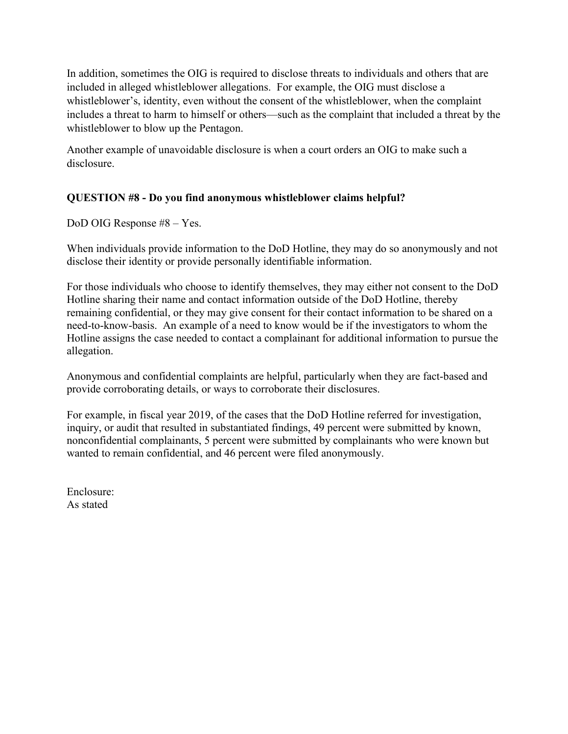In addition, sometimes the OIG is required to disclose threats to individuals and others that are included in alleged whistleblower allegations. For example, the OIG must disclose a whistleblower's, identity, even without the consent of the whistleblower, when the complaint includes a threat to harm to himself or others—such as the complaint that included a threat by the whistleblower to blow up the Pentagon.

Another example of unavoidable disclosure is when a court orders an OIG to make such a disclosure.

# **QUESTION #8 - Do you find anonymous whistleblower claims helpful?**

DoD OIG Response #8 – Yes.

When individuals provide information to the DoD Hotline, they may do so anonymously and not disclose their identity or provide personally identifiable information.

For those individuals who choose to identify themselves, they may either not consent to the DoD Hotline sharing their name and contact information outside of the DoD Hotline, thereby remaining confidential, or they may give consent for their contact information to be shared on a need-to-know-basis. An example of a need to know would be if the investigators to whom the Hotline assigns the case needed to contact a complainant for additional information to pursue the allegation.

Anonymous and confidential complaints are helpful, particularly when they are fact-based and provide corroborating details, or ways to corroborate their disclosures.

For example, in fiscal year 2019, of the cases that the DoD Hotline referred for investigation, inquiry, or audit that resulted in substantiated findings, 49 percent were submitted by known, nonconfidential complainants, 5 percent were submitted by complainants who were known but wanted to remain confidential, and 46 percent were filed anonymously.

Enclosure: As stated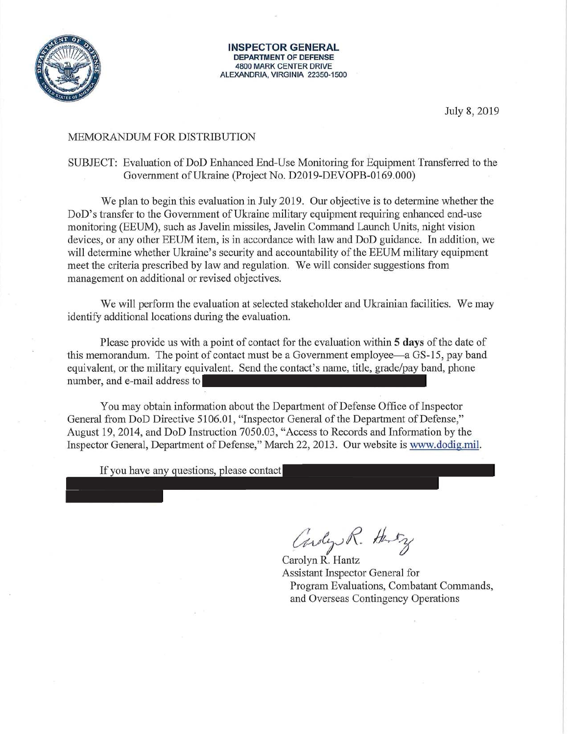

**INSPECTOR GENERAL DEPARTMENT OF DEFENSE** 4800 MARK CENTER DRIVE ALEXANDRIA, VIRGINIA 22350-1500

July 8, 2019

### MEMORANDUM FOR DISTRIBUTION

## SUBJECT: Evaluation of DoD Enhanced End-Use Monitoring for Equipment Transferred to the Government of Ukraine (Project No. D2019-DEVOPB-0169.000)

We plan to begin this evaluation in July 2019. Our objective is to determine whether the DoD's transfer to the Government of Ukraine military equipment requiring enhanced end-use monitoring (EEUM), such as Javelin missiles, Javelin Command Launch Units, night vision devices, or any other EEUM item, is in accordance with law and DoD guidance. In addition, we will determine whether Ukraine's security and accountability of the EEUM military equipment meet the criteria prescribed by law and regulation. We will consider suggestions from management on additional or revised objectives.

We will perform the evaluation at selected stakeholder and Ukrainian facilities. We may identify additional locations during the evaluation.

Please provide us with a point of contact for the evaluation within 5 days of the date of this memorandum. The point of contact must be a Government employee—a GS-15, pay band equivalent, or the military equivalent. Send the contact's name, title, grade/pay band, phone number, and e-mail address to

You may obtain information about the Department of Defense Office of Inspector General from DoD Directive 5106.01, "Inspector General of the Department of Defense," August 19, 2014, and DoD Instruction 7050.03, "Access to Records and Information by the Inspector General, Department of Defense," March 22, 2013. Our website is www.dodig.mil.

If you have any questions, please contact

Cardy R. Harry

Carolyn R. Hantz **Assistant Inspector General for** Program Evaluations, Combatant Commands, and Overseas Contingency Operations